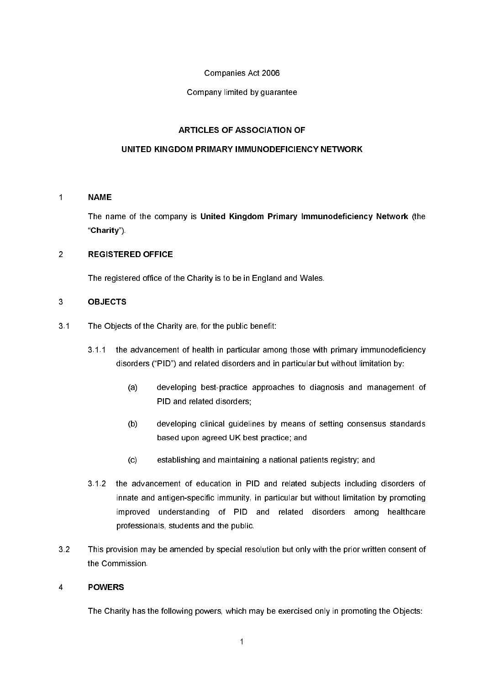# Companies Act 2006

# Company limited by guarantee

# **ARTICLES OF ASSOCIATION OF**

# UNITED KINGDOM PRIMARY IMMUNODEFICIENCY NETWORK

#### $\overline{1}$ **NAME**

The name of the company is United Kingdom Primary Immunodeficiency Network (the "Charity")

#### $\overline{2}$ **REGISTERED OFFICE**

The registered office of the Charity is to be in England and Wales.

# $\overline{3}$ **OBJECTS**

- $3.1$ The Objects of the Charity are, for the public benefit:
	- $311$ the advancement of health in particular among those with primary immunodeficiency disorders ("PID") and related disorders and in particular but without limitation by:
		- $(a)$ developing best-practice approaches to diagnosis and management of PID and related disorders;
		- $(b)$ developing clinical guidelines by means of setting consensus standards based upon agreed UK best practice; and
		- $(c)$ establishing and maintaining a national patients registry; and
	- the advancement of education in PID and related subjects including disorders of  $3.1.2$ innate and antigen-specific immunity, in particular but without limitation by promoting improved understanding of PID and related disorders among healthcare professionals, students and the public.
- $32$ This provision may be amended by special resolution but only with the prior written consent of the Commission.

#### **POWERS**  $\overline{4}$

The Charity has the following powers, which may be exercised only in promoting the Objects: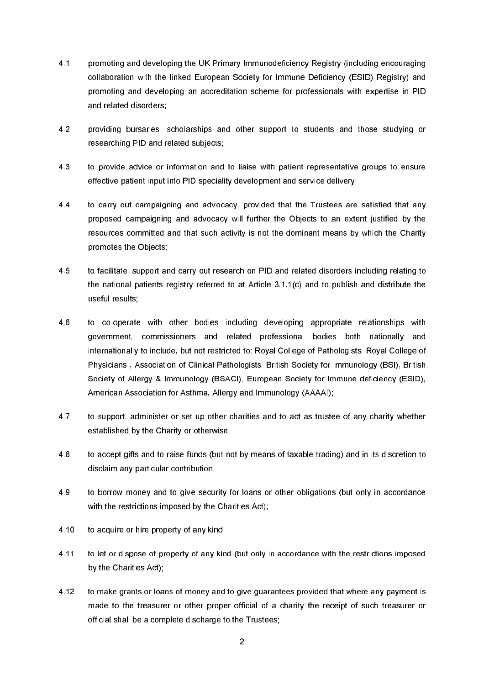- $4.1$ promoting and developing the UK Primary Immunodeficiency Registry (including encouraging collaboration with the linked European Society for Immune Deficiency (ESID) Registry) and promoting and developing an accreditation scheme for professionals with expertise in PID and related disorders:
- $42$ providing bursaries, scholarships and other support to students and those studying or researching PID and related subjects;
- 43 to provide advice or information and to liaise with patient representative groups to ensure effective patient input into PID speciality development and service delivery;
- $44$ to carry out campaigning and advocacy, provided that the Trustees are satisfied that any proposed campaigning and advocacy will further the Objects to an extent justified by the resources committed and that such activity is not the dominant means by which the Charity promotes the Objects:
- 45 to facilitate, support and carry out research on PID and related disorders including relating to the national patients registry referred to at Article 3.1.1(c) and to publish and distribute the useful results;
- 46 to co-operate with other bodies including developing appropriate relationships with government, commissioners and related professional bodies both nationally and internationally to include, but not restricted to: Royal College of Pathologists, Royal College of Physicians, Association of Clinical Pathologists, British Society for Immunology (BSI), British Society of Allergy & Immunology (BSACI), European Society for Immune deficiency (ESID), American Association for Asthma, Allergy and Immunology (AAAAI);
- 4.7 to support, administer or set up other charities and to act as trustee of any charity whether established by the Charity or otherwise;
- 48 to accept gifts and to raise funds (but not by means of taxable trading) and in its discretion to disclaim any particular contribution:
- 49 to borrow money and to give security for loans or other obligations (but only in accordance with the restrictions imposed by the Charities Act):
- 4.10 to acquire or hire property of any kind;
- 4 1 1 to let or dispose of property of any kind (but only in accordance with the restrictions imposed by the Charities Act):
- 4 1 2 to make grants or loans of money and to give guarantees provided that where any payment is made to the treasurer or other proper official of a charity the receipt of such treasurer or official shall be a complete discharge to the Trustees: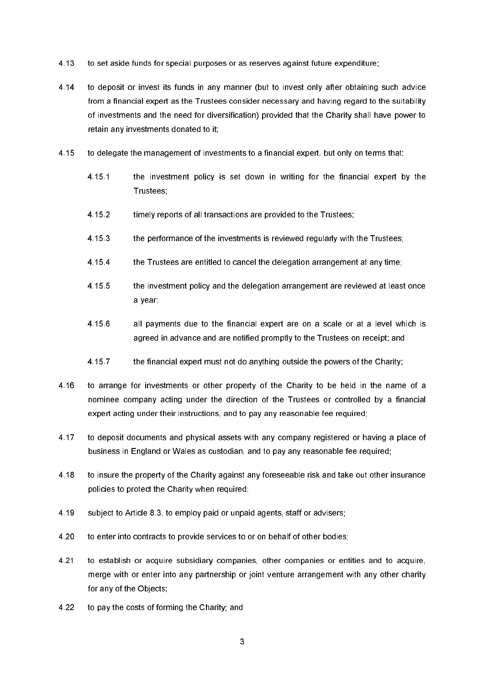- 4 13 to set aside funds for special purposes or as reserves against future expenditure;
- 4 1 4 to deposit or invest its funds in any manner (but to invest only after obtaining such advice from a financial expert as the Trustees consider necessary and having regard to the suitability of investments and the need for diversification) provided that the Charity shall have power to retain any investments donated to it;
- 4 15 to delegate the management of investments to a financial expert, but only on terms that:
	- 4 15 1 the investment policy is set down in writing for the financial expert by the Trustees:
	- 4 15 2 timely reports of all transactions are provided to the Trustees;
	- 4 15 3 the performance of the investments is reviewed requilarly with the Trustees:
	- 4 15 4 the Trustees are entitled to cancel the delegation arrangement at any time;
	- 4 15 5 the investment policy and the delegation arrangement are reviewed at least once a year;
	- 4 15 6 all payments due to the financial expert are on a scale or at a level which is agreed in advance and are notified promptly to the Trustees on receipt; and
	- 4 15 7 the financial expert must not do anything outside the powers of the Charity;
- 4 16 to arrange for investments or other property of the Charity to be held in the name of a nominee company acting under the direction of the Trustees or controlled by a financial expert acting under their instructions, and to pay any reasonable fee required;
- 4.17 to deposit documents and physical assets with any company registered or having a place of business in England or Wales as custodian, and to pay any reasonable fee required;
- 4 18 to insure the property of the Charity against any foreseeable risk and take out other insurance policies to protect the Charity when required:
- 4.19 subject to Article 8.3, to employ paid or unpaid agents, staff or advisers:
- 4.20 to enter into contracts to provide services to or on behalf of other bodies:
- 4 2 1 to establish or acquire subsidiary companies, other companies or entities and to acquire, merge with or enter into any partnership or joint venture arrangement with any other charity for any of the Objects:
- 4.22 to pay the costs of forming the Charity; and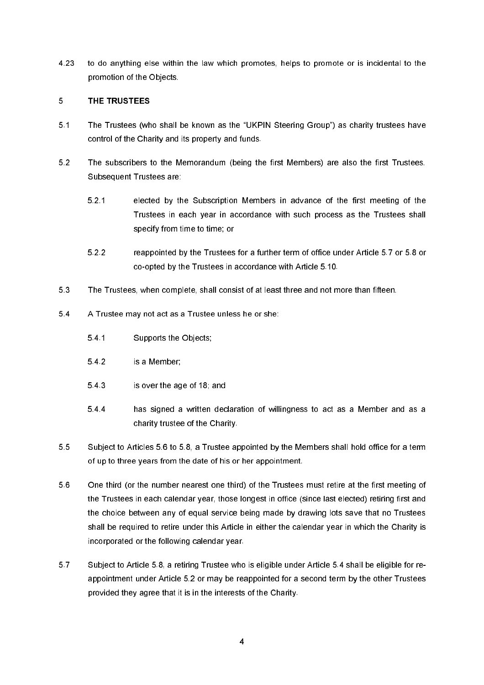4.23 to do anything else within the law which promotes, helps to promote or is incidental to the promotion of the Objects.

## 5 THE TRUSTEES

- $5.1$ The Trustees (who shall be known as the "UKPIN Steering Group") as charity trustees have control of the Charity and its property and funds.
- $52$ The subscribers to the Memorandum (being the first Members) are also the first Trustees. Subsequent Trustees are:
	- $52.1$ elected by the Subscription Members in advance of the first meeting of the Trustees in each year in accordance with such process as the Trustees shall specify from time to time: or
	- $5.2.2$ reappointed by the Trustees for a further term of office under Article 5.7 or 5.8 or co-opted by the Trustees in accordance with Article 5.10.
- 53 The Trustees, when complete, shall consist of at least three and not more than fifteen.
- 54 A Trustee may not act as a Trustee unless he or she:
	- $541$ Supports the Objects:
	- 542 is a Member:
	- 543 is over the age of 18; and
	- $5.4.4$ has signed a written declaration of willingness to act as a Member and as a charity trustee of the Charity.
- 55 Subject to Articles 5.6 to 5.8, a Trustee appointed by the Members shall hold office for a term of up to three years from the date of his or her appointment.
- 56 One third (or the number nearest one third) of the Trustees must retire at the first meeting of the Trustees in each calendar year, those longest in office (since last elected) retiring first and the choice between any of equal service being made by drawing lots save that no Trustees shall be required to retire under this Article in either the calendar year in which the Charity is incorporated or the following calendar year.
- $5.7$ Subject to Article 5.8, a retiring Trustee who is eligible under Article 5.4 shall be eligible for reappointment under Article 5.2 or may be reappointed for a second term by the other Trustees provided they agree that it is in the interests of the Charity.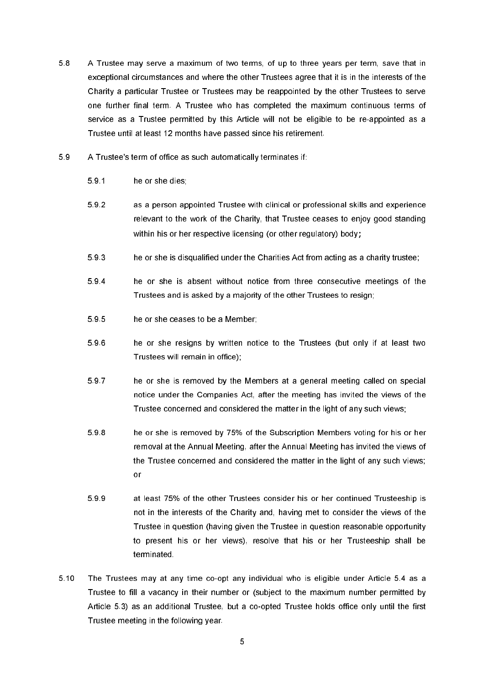- A Trustee may serve a maximum of two terms, of up to three years per term, save that in 58 exceptional circumstances and where the other Trustees agree that it is in the interests of the Charity a particular Trustee or Trustees may be reappointed by the other Trustees to serve one further final term. A Trustee who has completed the maximum continuous terms of service as a Trustee permitted by this Article will not be eligible to be re-appointed as a Trustee until at least 12 months have passed since his retirement.
- 59 A Trustee's term of office as such automatically terminates if:
	- 591 he or she dies:
	- 592 as a person appointed Trustee with clinical or professional skills and experience relevant to the work of the Charity, that Trustee ceases to eniov good standing within his or her respective licensing (or other regulatory) body;
	- 593 he or she is disqualified under the Charities Act from acting as a charity trustee;
	- 594 he or she is absent without notice from three consecutive meetings of the Trustees and is asked by a majority of the other Trustees to resign;
	- 595 he or she ceases to be a Member:
	- 596 he or she resigns by written notice to the Trustees (but only if at least two Trustees will remain in office);
	- 597 he or she is removed by the Members at a general meeting called on special notice under the Companies Act, after the meeting has invited the views of the Trustee concerned and considered the matter in the light of any such views;
	- 598 he or she is removed by 75% of the Subscription Members voting for his or her removal at the Annual Meeting, after the Annual Meeting has invited the views of the Trustee concerned and considered the matter in the light of any such views; or
	- 599 at least 75% of the other Trustees consider his or her continued Trusteeship is not in the interests of the Charity and, having met to consider the views of the Trustee in question (having given the Trustee in question reasonable opportunity to present his or her views), resolve that his or her Trusteeship shall be terminated.
- 5.10 The Trustees may at any time co-opt any individual who is eligible under Article 5.4 as a Trustee to fill a vacancy in their number or (subject to the maximum number permitted by Article 5.3) as an additional Trustee, but a co-opted Trustee holds office only until the first Trustee meeting in the following year.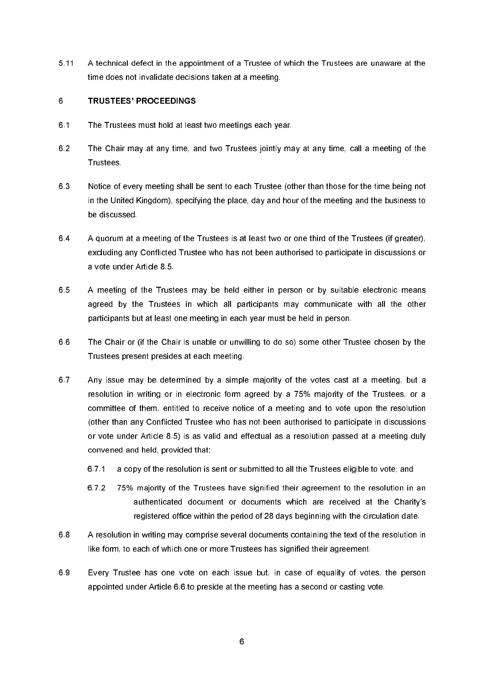$5.11$ A technical defect in the appointment of a Trustee of which the Trustees are unaware at the time does not invalidate decisions taken at a meeting.

## 6 **TRUSTEES' PROCEEDINGS**

- $6.1$ The Trustees must hold at least two meetings each year.
- 62 The Chair may at any time, and two Trustees jointly may at any time, call a meeting of the **Trustees**
- 63 Notice of every meeting shall be sent to each Trustee (other than those for the time being not in the United Kingdom), specifying the place, day and hour of the meeting and the business to be discussed
- 64 A quorum at a meeting of the Trustees is at least two or one third of the Trustees (if greater). excluding any Conflicted Trustee who has not been authorised to participate in discussions or a vote under Article 8.5
- 65 A meeting of the Trustees may be held either in person or by suitable electronic means agreed by the Trustees in which all participants may communicate with all the other participants but at least one meeting in each year must be held in person.
- 66 The Chair or (if the Chair is unable or unwilling to do so) some other Trustee chosen by the Trustees present presides at each meeting.
- 6.7 Any issue may be determined by a simple majority of the votes cast at a meeting, but a resolution in writing or in electronic form agreed by a 75% majority of the Trustees, or a committee of them, entitled to receive notice of a meeting and to vote upon the resolution (other than any Conflicted Trustee who has not been authorised to participate in discussions or vote under Article 8.5) is as valid and effectual as a resolution passed at a meeting duly convened and held, provided that:
	- 671 a copy of the resolution is sent or submitted to all the Trustees eligible to vote: and
	- 672 75% majority of the Trustees have signified their agreement to the resolution in an authenticated document or documents which are received at the Charity's registered office within the period of 28 days beginning with the circulation date.
- 68 A resolution in writing may comprise several documents containing the text of the resolution in like form, to each of which one or more Trustees has signified their agreement.
- 69 Every Trustee has one vote on each issue but, in case of equality of votes, the person appointed under Article 6.6 to preside at the meeting has a second or casting vote.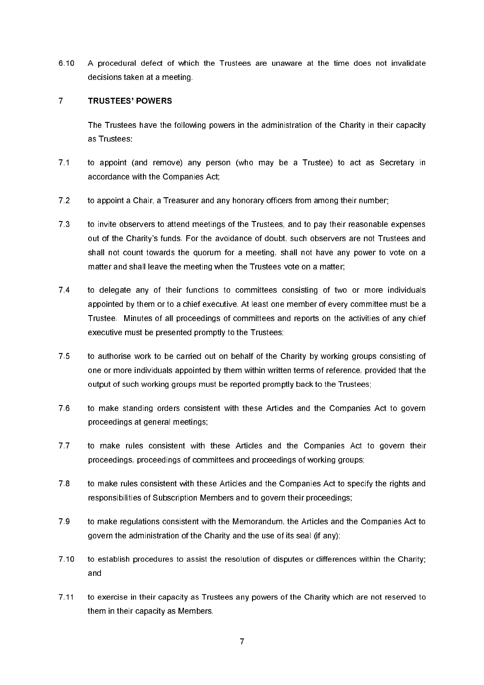6.10 A procedural defect of which the Trustees are unaware at the time does not invalidate decisions taken at a meeting.

#### $\overline{7}$ **TRUSTEES' POWERS**

The Trustees have the following powers in the administration of the Charity in their capacity as Trustees:

- $7.1$ to appoint (and remove) any person (who may be a Trustee) to act as Secretary in accordance with the Companies Act:
- $7.2$ to appoint a Chair, a Treasurer and any honorary officers from among their number;
- 73 to invite observers to attend meetings of the Trustees, and to pay their reasonable expenses out of the Charity's funds. For the avoidance of doubt, such observers are not Trustees and shall not count towards the quorum for a meeting, shall not have any power to vote on a matter and shall leave the meeting when the Trustees vote on a matter;
- $7.4$ to delegate any of their functions to committees consisting of two or more individuals appointed by them or to a chief executive. At least one member of every committee must be a Trustee. Minutes of all proceedings of committees and reports on the activities of any chief executive must be presented promptly to the Trustees;
- $7.5$ to authorise work to be carried out on behalf of the Charity by working groups consisting of one or more individuals appointed by them within written terms of reference, provided that the output of such working groups must be reported promptly back to the Trustees:
- $76$ to make standing orders consistent with these Articles and the Companies Act to govern proceedings at general meetings;
- $7.7$ to make rules consistent with these Articles and the Companies Act to govern their proceedings, proceedings of committees and proceedings of working groups;
- 78 to make rules consistent with these Articles and the Companies Act to specify the rights and responsibilities of Subscription Members and to govern their proceedings:
- 79 to make regulations consistent with the Memorandum, the Articles and the Companies Act to govern the administration of the Charity and the use of its seal (if any);
- $7.10$ to establish procedures to assist the resolution of disputes or differences within the Charity; and
- $7.11$ to exercise in their capacity as Trustees any powers of the Charity which are not reserved to them in their capacity as Members.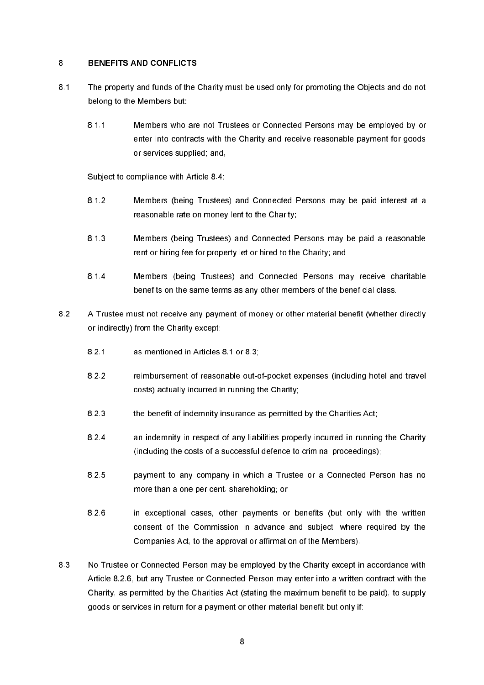#### 8 **BENEFITS AND CONFLICTS**

- $8.1$ The property and funds of the Charity must be used only for promoting the Objects and do not belong to the Members but:
	- $811$ Members who are not Trustees or Connected Persons may be emploved by or enter into contracts with the Charity and receive reasonable payment for goods or services supplied; and,

Subject to compliance with Article 8.4:

- 812 Members (being Trustees) and Connected Persons may be paid interest at a reasonable rate on money lent to the Charity;
- 813 Members (being Trustees) and Connected Persons may be paid a reasonable rent or hiring fee for property let or hired to the Charity; and
- 8.1.4 Members (being Trustees) and Connected Persons may receive charitable benefits on the same terms as any other members of the beneficial class.
- $82$ A Trustee must not receive any payment of money or other material benefit (whether directly or indirectly) from the Charity except:
	- $821$ as mentioned in Articles 8.1 or 8.3;
	- 822 reimbursement of reasonable out-of-pocket expenses (including hotel and travel costs) actually incurred in running the Charity:
	- 823 the benefit of indemnity insurance as permitted by the Charities Act;
	- $824$ an indemnity in respect of any liabilities properly incurred in running the Charity (including the costs of a successful defence to criminal proceedings);
	- 825 payment to any company in which a Trustee or a Connected Person has no more than a one per cent, shareholding: or
	- $8.26$ in exceptional cases, other payments or benefits (but only with the written consent of the Commission in advance and subject, where required by the Companies Act, to the approval or affirmation of the Members).
- 83 No Trustee or Connected Person may be employed by the Charity except in accordance with Article 8.2.6, but any Trustee or Connected Person may enter into a written contract with the Charity, as permitted by the Charities Act (stating the maximum benefit to be paid), to supply goods or services in return for a payment or other material benefit but only if: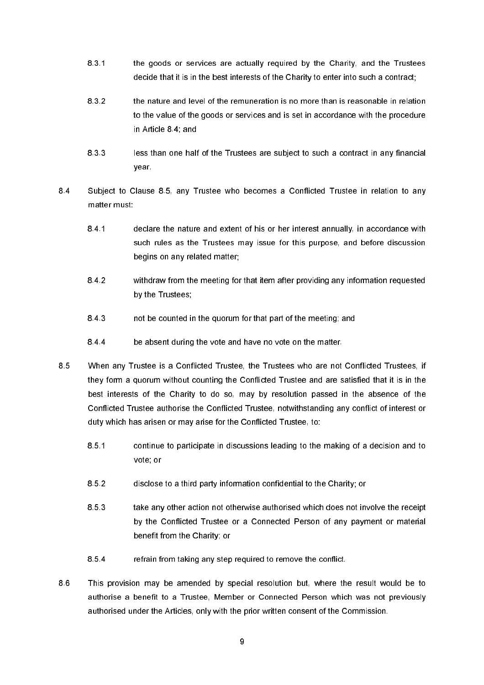- 831 the goods or services are actually required by the Charity, and the Trustees decide that it is in the best interests of the Charity to enter into such a contract;
- 832 the nature and level of the remuneration is no more than is reasonable in relation to the value of the goods or services and is set in accordance with the procedure in Article 8.4; and
- 833 less than one half of the Trustees are subject to such a contract in any financial year.
- 84 Subject to Clause 8.5, any Trustee who becomes a Conflicted Trustee in relation to any matter must:
	- 841 declare the nature and extent of his or her interest annually, in accordance with such rules as the Trustees may issue for this purpose, and before discussion begins on any related matter:
	- 842 withdraw from the meeting for that item after providing any information requested by the Trustees;
	- 843 not be counted in the quorum for that part of the meeting; and
	- 844 be absent during the vote and have no vote on the matter.
- 85 When any Trustee is a Conflicted Trustee, the Trustees who are not Conflicted Trustees, if they form a quorum without counting the Conflicted Trustee and are satisfied that it is in the best interests of the Charity to do so, may by resolution passed in the absence of the Conflicted Trustee authorise the Conflicted Trustee, notwithstanding any conflict of interest or duty which has arisen or may arise for the Conflicted Trustee, to:
	- 851 continue to participate in discussions leading to the making of a decision and to vote: or
	- 852 disclose to a third party information confidential to the Charity; or
	- 8.53 take any other action not otherwise authorised which does not involve the receipt by the Conflicted Trustee or a Connected Person of any payment or material benefit from the Charity: or
	- 854 refrain from taking any step required to remove the conflict.
- 86 This provision may be amended by special resolution but, where the result would be to authorise a benefit to a Trustee. Member or Connected Person which was not previously authorised under the Articles, only with the prior written consent of the Commission.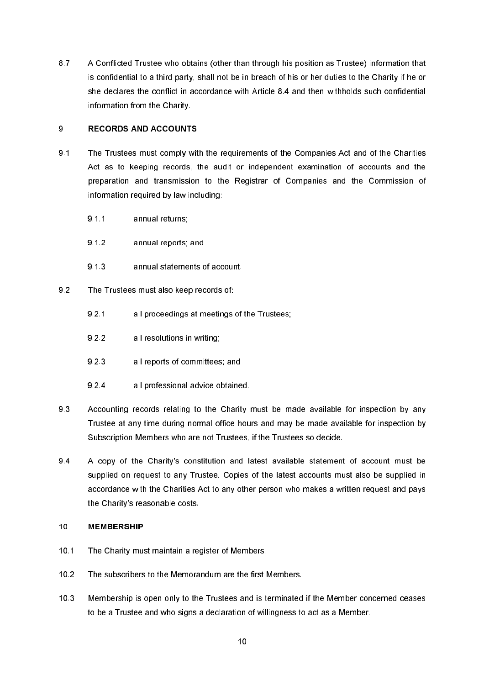87 A Conflicted Trustee who obtains (other than through his position as Trustee) information that is confidential to a third party, shall not be in breach of his or her duties to the Charity if he or she declares the conflict in accordance with Article 8.4 and then withholds such confidential information from the Charity.

## 9 **RECORDS AND ACCOUNTS**

- $9.1$ The Trustees must comply with the requirements of the Companies Act and of the Charities Act as to keeping records, the audit or independent examination of accounts and the preparation and transmission to the Registrar of Companies and the Commission of information required by law including:
	- $911$ annual returns:
	- $9.1.2$ annual reports: and
	- $9.1.3$ annual statements of account.
- $92$ The Trustees must also keep records of:
	- $921$ all proceedings at meetings of the Trustees;
	- $9.2.2$ all resolutions in writing;
	- 923 all reports of committees; and
	- $9.2.4$ all professional advice obtained.
- 93 Accounting records relating to the Charity must be made available for inspection by any Trustee at any time during normal office hours and may be made available for inspection by Subscription Members who are not Trustees, if the Trustees so decide.
- 94 A copy of the Charity's constitution and latest available statement of account must be supplied on request to any Trustee. Copies of the latest accounts must also be supplied in accordance with the Charities Act to any other person who makes a written request and pays the Charity's reasonable costs.

#### $10<sup>°</sup>$ **MEMBERSHIP**

- $10.1$ The Charity must maintain a register of Members.
- $10.2$ The subscribers to the Memorandum are the first Members.
- $10.3$ Membership is open only to the Trustees and is terminated if the Member concerned ceases to be a Trustee and who signs a declaration of willingness to act as a Member.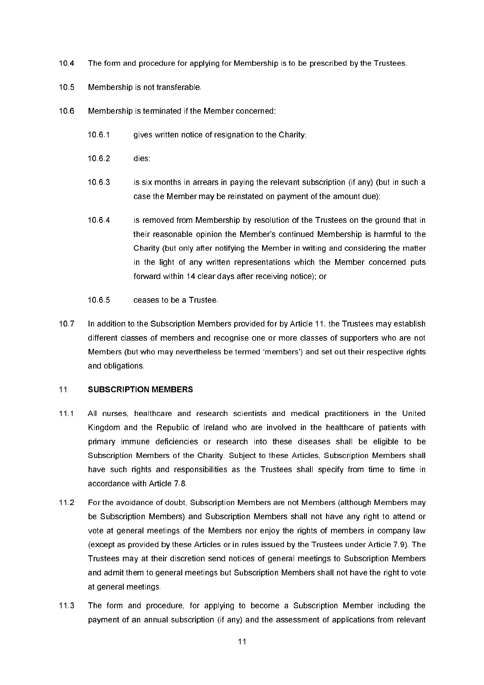- $10.4$ The form and procedure for applying for Membership is to be prescribed by the Trustees.
- $10.5$ Membership is not transferable.
- $10<sub>6</sub>$ Membership is terminated if the Member concerned:
	- 1061 gives written notice of resignation to the Charity:
	- $1062$ dies:
	- 1063 is six months in arrears in paying the relevant subscription (if any) (but in such a case the Member may be reinstated on payment of the amount due);
	- $1064$ is removed from Membership by resolution of the Trustees on the ground that in their reasonable opinion the Member's continued Membership is harmful to the Charity (but only after notifying the Member in writing and considering the matter in the light of any written representations which the Member concerned puts forward within 14 clear days after receiving notice); or
	- $1065$ ceases to be a Trustee.
- $10.7$ In addition to the Subscription Members provided for by Article 11, the Trustees may establish different classes of members and recognise one or more classes of supporters who are not Members (but who may nevertheless be termed 'members') and set out their respective rights and obligations.

# $11$ **SUBSCRIPTION MEMBERS**

- $11.1$ All nurses, healthcare and research scientists and medical practitioners in the United Kingdom and the Republic of Ireland who are involved in the healthcare of patients with primary immune deficiencies or research into these diseases shall be eligible to be Subscription Members of the Charity. Subject to these Articles, Subscription Members shall have such rights and responsibilities as the Trustees shall specify from time to time in accordance with Article 7.8
- $11.2$ For the avoidance of doubt, Subscription Members are not Members (although Members may be Subscription Members) and Subscription Members shall not have any right to attend or vote at general meetings of the Members nor enjoy the rights of members in company law (except as provided by these Articles or in rules issued by the Trustees under Article 7.9). The Trustees may at their discretion send notices of general meetings to Subscription Members and admit them to general meetings but Subscription Members shall not have the right to vote at general meetings.
- $11.3$ The form and procedure, for applying to become a Subscription Member including the payment of an annual subscription (if any) and the assessment of applications from relevant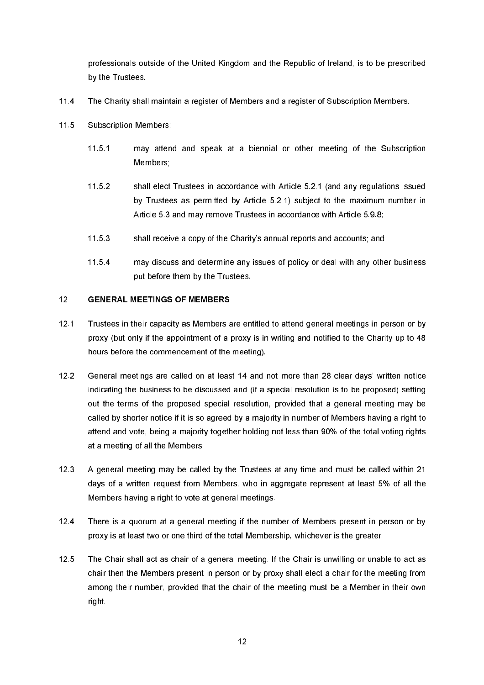professionals outside of the United Kingdom and the Republic of Ireland, is to be prescribed by the Trustees.

- $11.4$ The Charity shall maintain a register of Members and a register of Subscription Members.
- $11.5$ **Subscription Members:** 
	- $11.5.1$ may attend and speak at a biennial or other meeting of the Subscription Members:
	- 11.5.2 shall elect Trustees in accordance with Article 5.2.1 (and any regulations issued by Trustees as permitted by Article 5.2.1) subject to the maximum number in Article 5.3 and may remove Trustees in accordance with Article 5.9.8;
	- shall receive a copy of the Charity's annual reports and accounts; and  $11.5.3$
	- 1154 may discuss and determine any issues of policy or deal with any other business put before them by the Trustees.

#### $12<sup>°</sup>$ **GENERAL MEETINGS OF MEMBERS**

- $12<sub>1</sub>$ Trustees in their capacity as Members are entitled to attend general meetings in person or by proxy (but only if the appointment of a proxy is in writing and notified to the Charity up to 48 hours before the commencement of the meeting).
- $12.2$ General meetings are called on at least 14 and not more than 28 clear days' written notice indicating the business to be discussed and (if a special resolution is to be proposed) setting out the terms of the proposed special resolution, provided that a general meeting may be called by shorter notice if it is so agreed by a maiority in number of Members having a right to attend and vote, being a majority together holding not less than 90% of the total voting rights at a meeting of all the Members.
- $12.3$ A general meeting may be called by the Trustees at any time and must be called within 21 days of a written request from Members, who in aggregate represent at least 5% of all the Members having a right to vote at general meetings.
- $12.4$ There is a quorum at a general meeting if the number of Members present in person or by proxy is at least two or one third of the total Membership, whichever is the greater.
- $12.5$ The Chair shall act as chair of a general meeting. If the Chair is unwilling or unable to act as chair then the Members present in person or by proxy shall elect a chair for the meeting from among their number, provided that the chair of the meeting must be a Member in their own **right**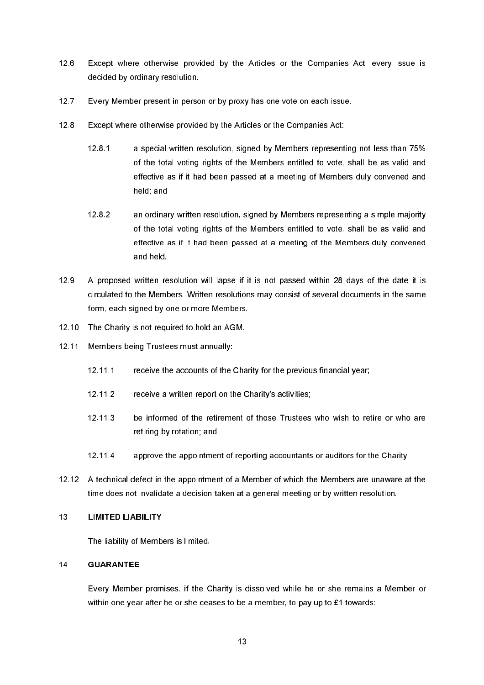- $12.6$ Except where otherwise provided by the Articles or the Companies Act, every issue is decided by ordinary resolution.
- $12.7$ Every Member present in person or by proxy has one vote on each issue.
- $12.8$ Except where otherwise provided by the Articles or the Companies Act:
	- $1281$ a special written resolution, signed by Members representing not less than 75% of the total voting rights of the Members entitled to vote, shall be as valid and effective as if it had been passed at a meeting of Members duly convened and held; and
	- 1282 an ordinary written resolution, signed by Members representing a simple majority of the total voting rights of the Members entitled to vote, shall be as valid and effective as if it had been passed at a meeting of the Members duly convened hlad hne
- $12.9$ A proposed written resolution will lapse if it is not passed within 28 days of the date it is circulated to the Members. Written resolutions may consist of several documents in the same form, each signed by one or more Members.
- 12.10 The Charity is not required to hold an AGM.
- $12.11$ Members being Trustees must annually:
	- $12.11.1$ receive the accounts of the Charity for the previous financial year:
	- $12.11.2$ receive a written report on the Charity's activities;
	- be informed of the retirement of those Trustees who wish to retire or who are  $12.11.3$ retiring by rotation; and
	- 12 11 4 approve the appointment of reporting accountants or auditors for the Charity.
- 12.12 A technical defect in the appointment of a Member of which the Members are unaware at the time does not invalidate a decision taken at a general meeting or by written resolution.

#### 13 **LIMITED LIABILITY**

The liability of Members is limited.

#### 14 **GUARANTEE**

Every Member promises, if the Charity is dissolved while he or she remains a Member or within one year after he or she ceases to be a member, to pay up to £1 towards: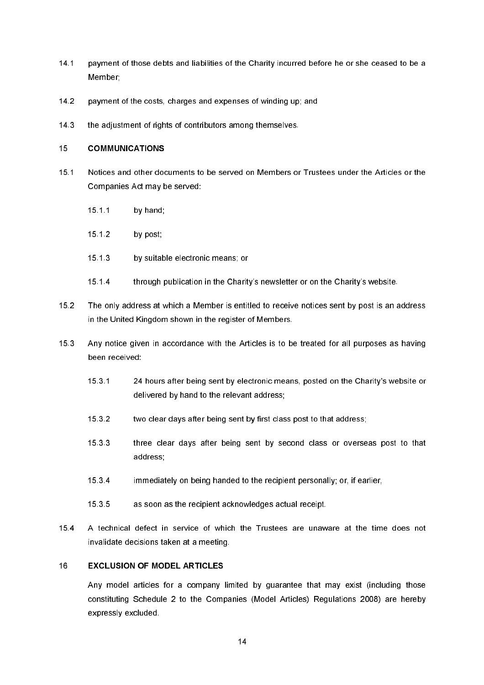- $14.1$ payment of those debts and liabilities of the Charity incurred before he or she ceased to be a Member:
- $14.2$ payment of the costs, charges and expenses of winding up; and
- $14.3$ the adjustment of rights of contributors among themselves.

#### $15<sup>1</sup>$ **COMMUNICATIONS**

- $15.1$ Notices and other documents to be served on Members or Trustees under the Articles or the Companies Act may be served:
	- 15 1 1 by hand:
	- $15.12$ by post;
	- $15.13$ by suitable electronic means: or
	- 15 1 4 through publication in the Charity's newsletter or on the Charity's website.
- $15.2$ The only address at which a Member is entitled to receive notices sent by post is an address in the United Kingdom shown in the register of Members.
- $15.3$ Any notice given in accordance with the Articles is to be treated for all purposes as having been received:
	- $15.3.1$ 24 hours after being sent by electronic means, posted on the Charity's website or delivered by hand to the relevant address;
	- 15 3 2 two clear days after being sent by first class post to that address;
	- 15 3 3 three clear days after being sent by second class or overseas post to that address:
	- 1534 immediately on being handed to the recipient personally; or, if earlier,
	- 1535 as soon as the recipient acknowledges actual receipt.
- $15.4$ A technical defect in service of which the Trustees are unaware at the time does not invalidate decisions taken at a meeting.

#### 16 **EXCLUSION OF MODEL ARTICLES**

Any model articles for a company limited by quarantee that may exist (including those constituting Schedule 2 to the Companies (Model Articles) Regulations 2008) are hereby expressly excluded.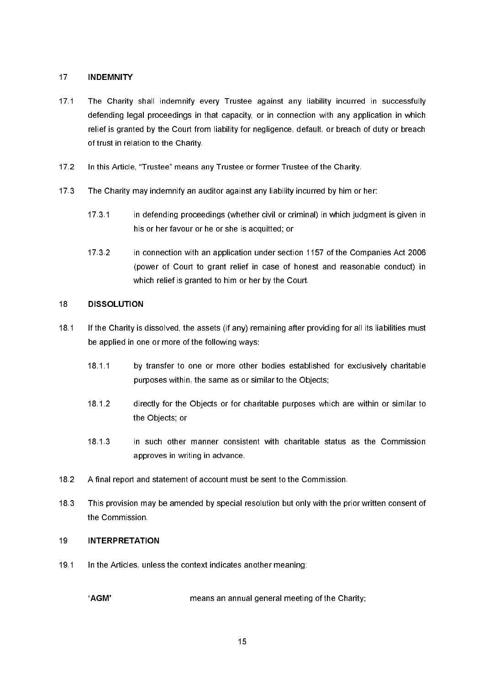#### $17<sup>°</sup>$ **INDEMNITY**

- $17.1$ The Charity shall indemnify every Trustee against any liability incurred in successfully defending legal proceedings in that capacity, or in connection with any application in which relief is granted by the Court from liability for negligence, default, or breach of duty or breach of trust in relation to the Charity.
- $17<sub>2</sub>$ In this Article, "Trustee" means any Trustee or former Trustee of the Charity.
- $17<sub>3</sub>$ The Charity may indemnify an auditor against any liability incurred by him or her:
	- $173.1$ in defending proceedings (whether civil or criminal) in which judgment is given in his or her favour or he or she is acquitted; or
	- $1732$ in connection with an application under section 1157 of the Companies Act 2006 (power of Court to grant relief in case of honest and reasonable conduct) in which relief is granted to him or her by the Court.

#### 18 **DISSOLUTION**

- $18<sub>1</sub>$ If the Charity is dissolved, the assets (if any) remaining after providing for all its liabilities must be applied in one or more of the following ways:
	- 18 1 1 by transfer to one or more other bodies established for exclusively charitable purposes within, the same as or similar to the Objects;
	- 18 1 2 directly for the Objects or for charitable purposes which are within or similar to the Obiects: or
	- 18 1 3 in such other manner consistent with charitable status as the Commission approves in writing in advance.
- $18.2$ A final report and statement of account must be sent to the Commission.
- 18.3 This provision may be amended by special resolution but only with the prior written consent of the Commission.

# $19$ **INTERPRETATION**

191 In the Articles, unless the context indicates another meaning:

> 'AGM' means an annual general meeting of the Charity;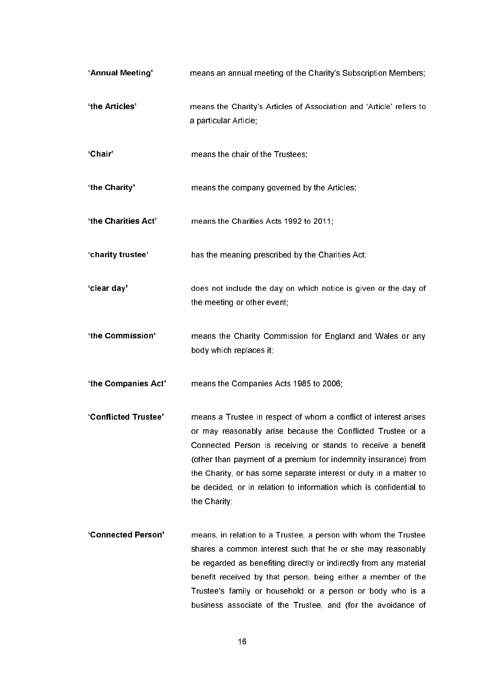| 'Annual Meeting'     | means an annual meeting of the Charity's Subscription Members;                                                                                                                                                                                                                                                                                                                                                               |
|----------------------|------------------------------------------------------------------------------------------------------------------------------------------------------------------------------------------------------------------------------------------------------------------------------------------------------------------------------------------------------------------------------------------------------------------------------|
| 'the Articles'       | means the Charity's Articles of Association and 'Article' refers to<br>a particular Article;                                                                                                                                                                                                                                                                                                                                 |
| 'Chair'              | means the chair of the Trustees;                                                                                                                                                                                                                                                                                                                                                                                             |
| 'the Charity'        | means the company governed by the Articles;                                                                                                                                                                                                                                                                                                                                                                                  |
| 'the Charities Act'  | means the Charities Acts 1992 to 2011;                                                                                                                                                                                                                                                                                                                                                                                       |
| 'charity trustee'    | has the meaning prescribed by the Charities Act;                                                                                                                                                                                                                                                                                                                                                                             |
| 'clear day'          | does not include the day on which notice is given or the day of<br>the meeting or other event;                                                                                                                                                                                                                                                                                                                               |
| 'the Commission'     | means the Charity Commission for England and Wales or any<br>body which replaces it;                                                                                                                                                                                                                                                                                                                                         |
| 'the Companies Act'  | means the Companies Acts 1985 to 2006;                                                                                                                                                                                                                                                                                                                                                                                       |
| 'Conflicted Trustee' | means a Trustee in respect of whom a conflict of interest arises<br>or may reasonably arise because the Conflicted Trustee or a<br>Connected Person is receiving or stands to receive a benefit<br>(other than payment of a premium for indemnity insurance) from<br>the Charity, or has some separate interest or duty in a matter to<br>be decided, or in relation to information which is confidential to<br>the Charity; |
| 'Connected Person'   | means, in relation to a Trustee, a person with whom the Trustee<br>shares a common interest such that he or she may reasonably<br>be regarded as benefiting directly or indirectly from any material<br>benefit received by that person, being either a member of the<br>Trustee's family or household or a person or body who is a<br>business associate of the Trustee, and (for the avoidance of                          |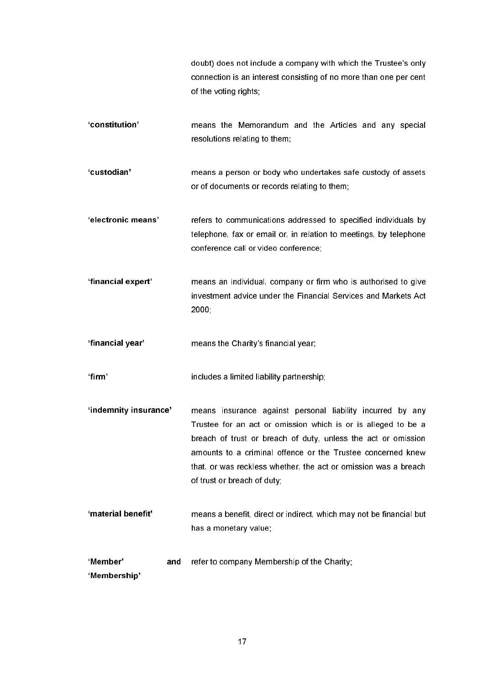|                                 | doubt) does not include a company with which the Trustee's only<br>connection is an interest consisting of no more than one per cent<br>of the voting rights;                                                                                                                                                                                                 |
|---------------------------------|---------------------------------------------------------------------------------------------------------------------------------------------------------------------------------------------------------------------------------------------------------------------------------------------------------------------------------------------------------------|
| 'constitution'                  | means the Memorandum and the Articles and any special<br>resolutions relating to them;                                                                                                                                                                                                                                                                        |
| 'custodian'                     | means a person or body who undertakes safe custody of assets<br>or of documents or records relating to them;                                                                                                                                                                                                                                                  |
| 'electronic means'              | refers to communications addressed to specified individuals by<br>telephone, fax or email or, in relation to meetings, by telephone<br>conference call or video conference;                                                                                                                                                                                   |
| 'financial expert'              | means an individual, company or firm who is authorised to give<br>investment advice under the Financial Services and Markets Act<br>2000                                                                                                                                                                                                                      |
| 'financial year'                | means the Charity's financial year;                                                                                                                                                                                                                                                                                                                           |
| ʻfirm'                          | includes a limited liability partnership;                                                                                                                                                                                                                                                                                                                     |
| 'indemnity insurance'           | means insurance against personal liability incurred by any<br>Trustee for an act or omission which is or is alleged to be a<br>breach of trust or breach of duty, unless the act or omission<br>amounts to a criminal offence or the Trustee concerned knew<br>that, or was reckless whether, the act or omission was a breach<br>of trust or breach of duty; |
| 'material benefit'              | means a benefit, direct or indirect, which may not be financial but<br>has a monetary value;                                                                                                                                                                                                                                                                  |
| 'Member'<br>and<br>'Membership' | refer to company Membership of the Charity;                                                                                                                                                                                                                                                                                                                   |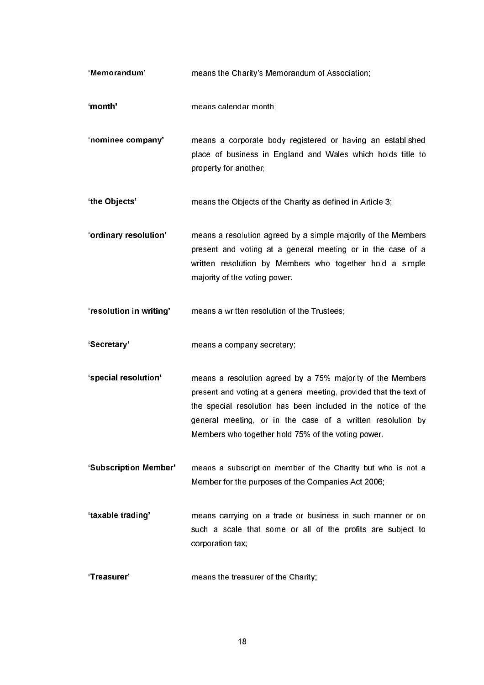| 'Memorandum'            | means the Charity's Memorandum of Association;                                                                                                                                                                                                                                                                        |
|-------------------------|-----------------------------------------------------------------------------------------------------------------------------------------------------------------------------------------------------------------------------------------------------------------------------------------------------------------------|
| 'month'                 | means calendar month;                                                                                                                                                                                                                                                                                                 |
| 'nominee company'       | means a corporate body registered or having an established<br>place of business in England and Wales which holds title to<br>property for another;                                                                                                                                                                    |
| 'the Objects'           | means the Objects of the Charity as defined in Article 3;                                                                                                                                                                                                                                                             |
| 'ordinary resolution'   | means a resolution agreed by a simple majority of the Members<br>present and voting at a general meeting or in the case of a<br>written resolution by Members who together hold a simple<br>majority of the voting power.                                                                                             |
| 'resolution in writing' | means a written resolution of the Trustees;                                                                                                                                                                                                                                                                           |
| 'Secretary'             | means a company secretary;                                                                                                                                                                                                                                                                                            |
| 'special resolution'    | means a resolution agreed by a 75% majority of the Members<br>present and voting at a general meeting, provided that the text of<br>the special resolution has been included in the notice of the<br>general meeting, or in the case of a written resolution by<br>Members who together hold 75% of the voting power. |
| 'Subscription Member'   | means a subscription member of the Charity but who is not a<br>Member for the purposes of the Companies Act 2006;                                                                                                                                                                                                     |
| 'taxable trading'       | means carrying on a trade or business in such manner or on<br>such a scale that some or all of the profits are subject to<br>corporation tax;                                                                                                                                                                         |
| 'Treasurer'             | means the treasurer of the Charity;                                                                                                                                                                                                                                                                                   |